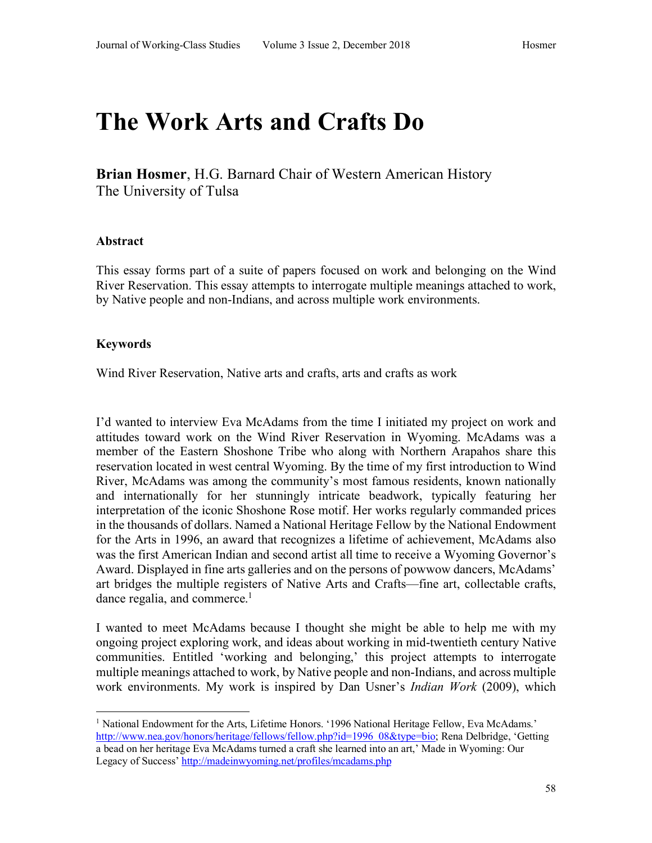# **The Work Arts and Crafts Do**

**Brian Hosmer**, H.G. Barnard Chair of Western American History The University of Tulsa

#### **Abstract**

This essay forms part of a suite of papers focused on work and belonging on the Wind River Reservation. This essay attempts to interrogate multiple meanings attached to work, by Native people and non-Indians, and across multiple work environments.

#### **Keywords**

Wind River Reservation, Native arts and crafts, arts and crafts as work

I'd wanted to interview Eva McAdams from the time I initiated my project on work and attitudes toward work on the Wind River Reservation in Wyoming. McAdams was a member of the Eastern Shoshone Tribe who along with Northern Arapahos share this reservation located in west central Wyoming. By the time of my first introduction to Wind River, McAdams was among the community's most famous residents, known nationally and internationally for her stunningly intricate beadwork, typically featuring her interpretation of the iconic Shoshone Rose motif. Her works regularly commanded prices in the thousands of dollars. Named a National Heritage Fellow by the National Endowment for the Arts in 1996, an award that recognizes a lifetime of achievement, McAdams also was the first American Indian and second artist all time to receive a Wyoming Governor's Award. Displayed in fine arts galleries and on the persons of powwow dancers, McAdams' art bridges the multiple registers of Native Arts and Crafts—fine art, collectable crafts, dance regalia, and commerce. $<sup>1</sup>$ </sup>

I wanted to meet McAdams because I thought she might be able to help me with my ongoing project exploring work, and ideas about working in mid-twentieth century Native communities. Entitled 'working and belonging,' this project attempts to interrogate multiple meanings attached to work, by Native people and non-Indians, and across multiple work environments. My work is inspired by Dan Usner's *Indian Work* (2009), which

<sup>&</sup>lt;sup>1</sup> National Endowment for the Arts, Lifetime Honors. '1996 National Heritage Fellow, Eva McAdams.' http://www.nea.gov/honors/heritage/fellows/fellow.php?id=1996\_08&type=bio; Rena Delbridge, 'Getting a bead on her heritage Eva McAdams turned a craft she learned into an art,' Made in Wyoming: Our Legacy of Success' http://madeinwyoming.net/profiles/mcadams.php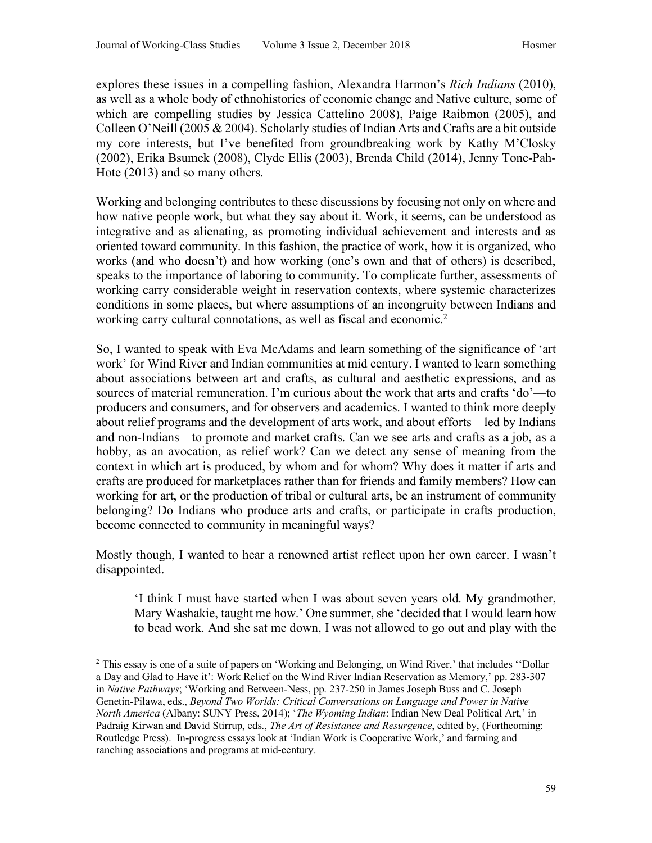explores these issues in a compelling fashion, Alexandra Harmon's *Rich Indians* (2010), as well as a whole body of ethnohistories of economic change and Native culture, some of which are compelling studies by Jessica Cattelino 2008), Paige Raibmon (2005), and Colleen O'Neill (2005 & 2004). Scholarly studies of Indian Arts and Crafts are a bit outside my core interests, but I've benefited from groundbreaking work by Kathy M'Closky (2002), Erika Bsumek (2008), Clyde Ellis (2003), Brenda Child (2014), Jenny Tone-Pah-Hote (2013) and so many others.

Working and belonging contributes to these discussions by focusing not only on where and how native people work, but what they say about it. Work, it seems, can be understood as integrative and as alienating, as promoting individual achievement and interests and as oriented toward community. In this fashion, the practice of work, how it is organized, who works (and who doesn't) and how working (one's own and that of others) is described, speaks to the importance of laboring to community. To complicate further, assessments of working carry considerable weight in reservation contexts, where systemic characterizes conditions in some places, but where assumptions of an incongruity between Indians and working carry cultural connotations, as well as fiscal and economic.<sup>2</sup>

So, I wanted to speak with Eva McAdams and learn something of the significance of 'art work' for Wind River and Indian communities at mid century. I wanted to learn something about associations between art and crafts, as cultural and aesthetic expressions, and as sources of material remuneration. I'm curious about the work that arts and crafts 'do'—to producers and consumers, and for observers and academics. I wanted to think more deeply about relief programs and the development of arts work, and about efforts—led by Indians and non-Indians—to promote and market crafts. Can we see arts and crafts as a job, as a hobby, as an avocation, as relief work? Can we detect any sense of meaning from the context in which art is produced, by whom and for whom? Why does it matter if arts and crafts are produced for marketplaces rather than for friends and family members? How can working for art, or the production of tribal or cultural arts, be an instrument of community belonging? Do Indians who produce arts and crafts, or participate in crafts production, become connected to community in meaningful ways?

Mostly though, I wanted to hear a renowned artist reflect upon her own career. I wasn't disappointed.

'I think I must have started when I was about seven years old. My grandmother, Mary Washakie, taught me how.' One summer, she 'decided that I would learn how to bead work. And she sat me down, I was not allowed to go out and play with the

<sup>&</sup>lt;sup>2</sup> This essay is one of a suite of papers on 'Working and Belonging, on Wind River,' that includes "Dollar a Day and Glad to Have it': Work Relief on the Wind River Indian Reservation as Memory,' pp. 283-307 in *Native Pathways*; 'Working and Between-Ness, pp. 237-250 in James Joseph Buss and C. Joseph Genetin-Pilawa, eds., *Beyond Two Worlds: Critical Conversations on Language and Power in Native North America* (Albany: SUNY Press, 2014); '*The Wyoming Indian*: Indian New Deal Political Art,' in Padraig Kirwan and David Stirrup, eds., *The Art of Resistance and Resurgence*, edited by, (Forthcoming: Routledge Press). In-progress essays look at 'Indian Work is Cooperative Work,' and farming and ranching associations and programs at mid-century.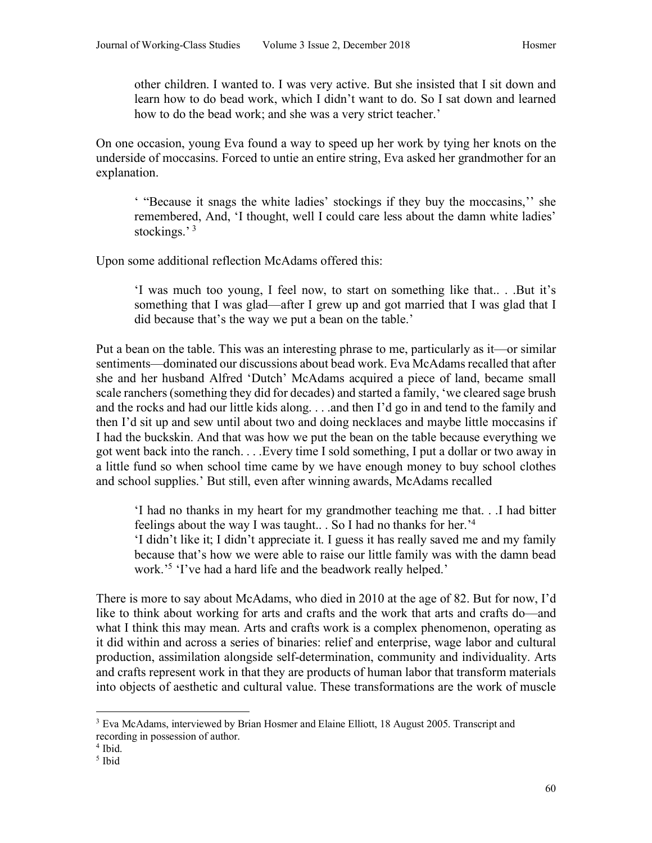other children. I wanted to. I was very active. But she insisted that I sit down and learn how to do bead work, which I didn't want to do. So I sat down and learned how to do the bead work; and she was a very strict teacher.'

On one occasion, young Eva found a way to speed up her work by tying her knots on the underside of moccasins. Forced to untie an entire string, Eva asked her grandmother for an explanation.

' "Because it snags the white ladies' stockings if they buy the moccasins,'' she remembered, And, 'I thought, well I could care less about the damn white ladies' stockings.<sup>3</sup>

Upon some additional reflection McAdams offered this:

'I was much too young, I feel now, to start on something like that.. . .But it's something that I was glad—after I grew up and got married that I was glad that I did because that's the way we put a bean on the table.'

Put a bean on the table. This was an interesting phrase to me, particularly as it—or similar sentiments—dominated our discussions about bead work. Eva McAdams recalled that after she and her husband Alfred 'Dutch' McAdams acquired a piece of land, became small scale ranchers(something they did for decades) and started a family, 'we cleared sage brush and the rocks and had our little kids along. . . .and then I'd go in and tend to the family and then I'd sit up and sew until about two and doing necklaces and maybe little moccasins if I had the buckskin. And that was how we put the bean on the table because everything we got went back into the ranch. . . .Every time I sold something, I put a dollar or two away in a little fund so when school time came by we have enough money to buy school clothes and school supplies.' But still, even after winning awards, McAdams recalled

'I had no thanks in my heart for my grandmother teaching me that. . .I had bitter feelings about the way I was taught.. . So I had no thanks for her.' 4

'I didn't like it; I didn't appreciate it. I guess it has really saved me and my family because that's how we were able to raise our little family was with the damn bead work.' <sup>5</sup> 'I've had a hard life and the beadwork really helped.'

There is more to say about McAdams, who died in 2010 at the age of 82. But for now, I'd like to think about working for arts and crafts and the work that arts and crafts do—and what I think this may mean. Arts and crafts work is a complex phenomenon, operating as it did within and across a series of binaries: relief and enterprise, wage labor and cultural production, assimilation alongside self-determination, community and individuality. Arts and crafts represent work in that they are products of human labor that transform materials into objects of aesthetic and cultural value. These transformations are the work of muscle

<sup>&</sup>lt;sup>3</sup> Eva McAdams, interviewed by Brian Hosmer and Elaine Elliott, 18 August 2005. Transcript and recording in possession of author.

<sup>4</sup> Ibid.

<sup>5</sup> Ibid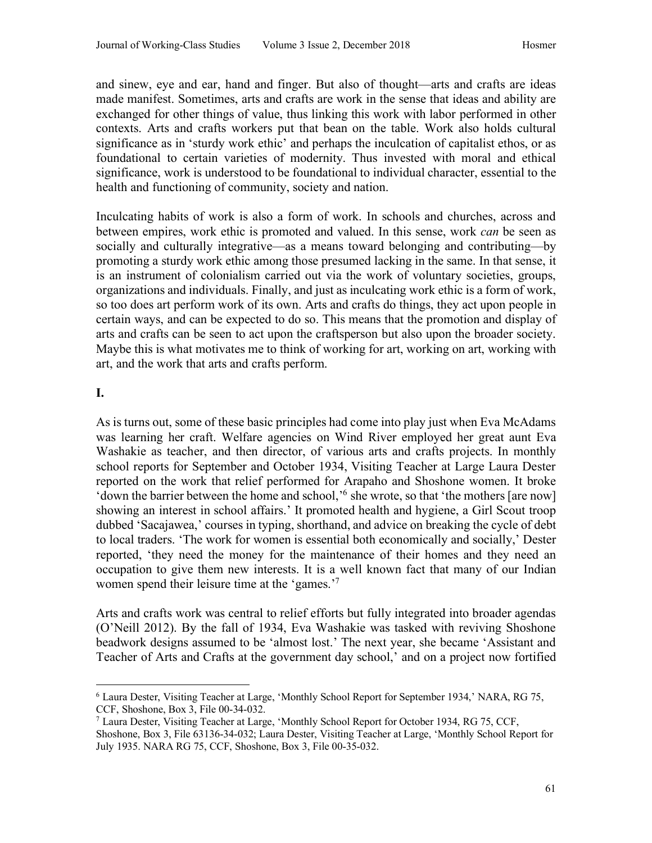and sinew, eye and ear, hand and finger. But also of thought—arts and crafts are ideas made manifest. Sometimes, arts and crafts are work in the sense that ideas and ability are exchanged for other things of value, thus linking this work with labor performed in other contexts. Arts and crafts workers put that bean on the table. Work also holds cultural significance as in 'sturdy work ethic' and perhaps the inculcation of capitalist ethos, or as foundational to certain varieties of modernity. Thus invested with moral and ethical significance, work is understood to be foundational to individual character, essential to the health and functioning of community, society and nation.

Inculcating habits of work is also a form of work. In schools and churches, across and between empires, work ethic is promoted and valued. In this sense, work *can* be seen as socially and culturally integrative—as a means toward belonging and contributing—by promoting a sturdy work ethic among those presumed lacking in the same. In that sense, it is an instrument of colonialism carried out via the work of voluntary societies, groups, organizations and individuals. Finally, and just as inculcating work ethic is a form of work, so too does art perform work of its own. Arts and crafts do things, they act upon people in certain ways, and can be expected to do so. This means that the promotion and display of arts and crafts can be seen to act upon the craftsperson but also upon the broader society. Maybe this is what motivates me to think of working for art, working on art, working with art, and the work that arts and crafts perform.

#### **I.**

As is turns out, some of these basic principles had come into play just when Eva McAdams was learning her craft. Welfare agencies on Wind River employed her great aunt Eva Washakie as teacher, and then director, of various arts and crafts projects. In monthly school reports for September and October 1934, Visiting Teacher at Large Laura Dester reported on the work that relief performed for Arapaho and Shoshone women. It broke 'down the barrier between the home and school, <sup>'6</sup> she wrote, so that 'the mothers [are now] showing an interest in school affairs.' It promoted health and hygiene, a Girl Scout troop dubbed 'Sacajawea,' courses in typing, shorthand, and advice on breaking the cycle of debt to local traders. 'The work for women is essential both economically and socially,' Dester reported, 'they need the money for the maintenance of their homes and they need an occupation to give them new interests. It is a well known fact that many of our Indian women spend their leisure time at the 'games.'7

Arts and crafts work was central to relief efforts but fully integrated into broader agendas (O'Neill 2012). By the fall of 1934, Eva Washakie was tasked with reviving Shoshone beadwork designs assumed to be 'almost lost.' The next year, she became 'Assistant and Teacher of Arts and Crafts at the government day school,' and on a project now fortified

 <sup>6</sup> Laura Dester, Visiting Teacher at Large, 'Monthly School Report for September 1934,' NARA, RG 75, CCF, Shoshone, Box 3, File 00-34-032.

<sup>7</sup> Laura Dester, Visiting Teacher at Large, 'Monthly School Report for October 1934, RG 75, CCF,

Shoshone, Box 3, File 63136-34-032; Laura Dester, Visiting Teacher at Large, 'Monthly School Report for July 1935. NARA RG 75, CCF, Shoshone, Box 3, File 00-35-032.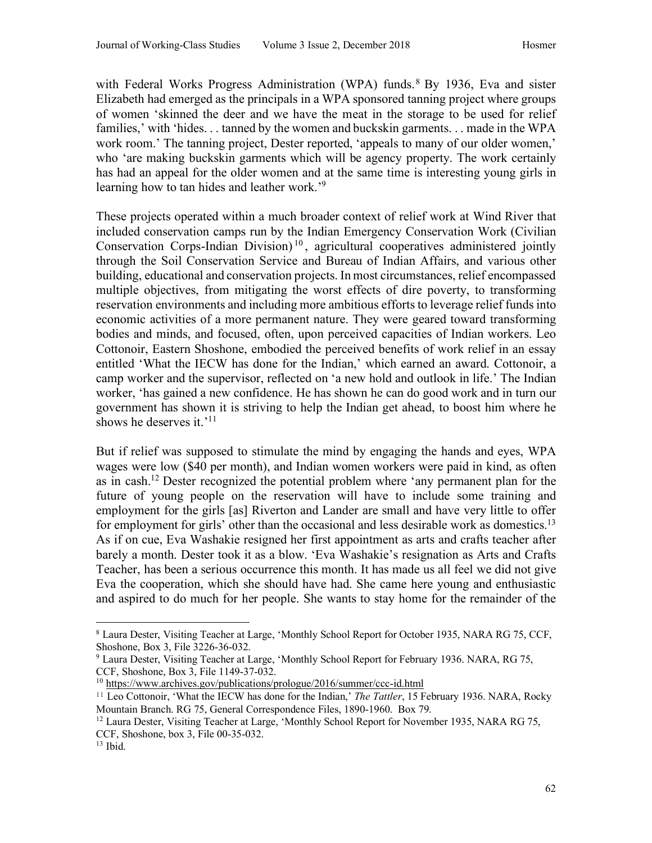with Federal Works Progress Administration (WPA) funds.<sup>8</sup> By 1936, Eva and sister Elizabeth had emerged as the principals in a WPA sponsored tanning project where groups of women 'skinned the deer and we have the meat in the storage to be used for relief families,' with 'hides. . . tanned by the women and buckskin garments. . . made in the WPA work room.' The tanning project, Dester reported, 'appeals to many of our older women,' who 'are making buckskin garments which will be agency property. The work certainly has had an appeal for the older women and at the same time is interesting young girls in learning how to tan hides and leather work.'<sup>9</sup>

These projects operated within a much broader context of relief work at Wind River that included conservation camps run by the Indian Emergency Conservation Work (Civilian Conservation Corps-Indian Division)<sup>10</sup>, agricultural cooperatives administered jointly through the Soil Conservation Service and Bureau of Indian Affairs, and various other building, educational and conservation projects. In most circumstances, relief encompassed multiple objectives, from mitigating the worst effects of dire poverty, to transforming reservation environments and including more ambitious efforts to leverage relief funds into economic activities of a more permanent nature. They were geared toward transforming bodies and minds, and focused, often, upon perceived capacities of Indian workers. Leo Cottonoir, Eastern Shoshone, embodied the perceived benefits of work relief in an essay entitled 'What the IECW has done for the Indian,' which earned an award. Cottonoir, a camp worker and the supervisor, reflected on 'a new hold and outlook in life.' The Indian worker, 'has gained a new confidence. He has shown he can do good work and in turn our government has shown it is striving to help the Indian get ahead, to boost him where he shows he deserves it.'11

But if relief was supposed to stimulate the mind by engaging the hands and eyes, WPA wages were low (\$40 per month), and Indian women workers were paid in kind, as often as in cash.12 Dester recognized the potential problem where 'any permanent plan for the future of young people on the reservation will have to include some training and employment for the girls [as] Riverton and Lander are small and have very little to offer for employment for girls' other than the occasional and less desirable work as domestics.<sup>13</sup> As if on cue, Eva Washakie resigned her first appointment as arts and crafts teacher after barely a month. Dester took it as a blow. 'Eva Washakie's resignation as Arts and Crafts Teacher, has been a serious occurrence this month. It has made us all feel we did not give Eva the cooperation, which she should have had. She came here young and enthusiastic and aspired to do much for her people. She wants to stay home for the remainder of the

 <sup>8</sup> Laura Dester, Visiting Teacher at Large, 'Monthly School Report for October 1935, NARA RG 75, CCF, Shoshone, Box 3, File 3226-36-032.

<sup>&</sup>lt;sup>9</sup> Laura Dester, Visiting Teacher at Large, 'Monthly School Report for February 1936. NARA, RG 75, CCF, Shoshone, Box 3, File 1149-37-032.

<sup>&</sup>lt;sup>10</sup> https://www.archives.gov/publications/prologue/2016/summer/ccc-id.html

<sup>&</sup>lt;sup>11</sup> Leo Cottonoir, 'What the IECW has done for the Indian,' *The Tattler*, 15 February 1936. NARA, Rocky Mountain Branch. RG 75, General Correspondence Files, 1890-1960. Box 79.

<sup>&</sup>lt;sup>12</sup> Laura Dester, Visiting Teacher at Large, 'Monthly School Report for November 1935, NARA RG 75, CCF, Shoshone, box 3, File 00-35-032.

 $13$  Ibid.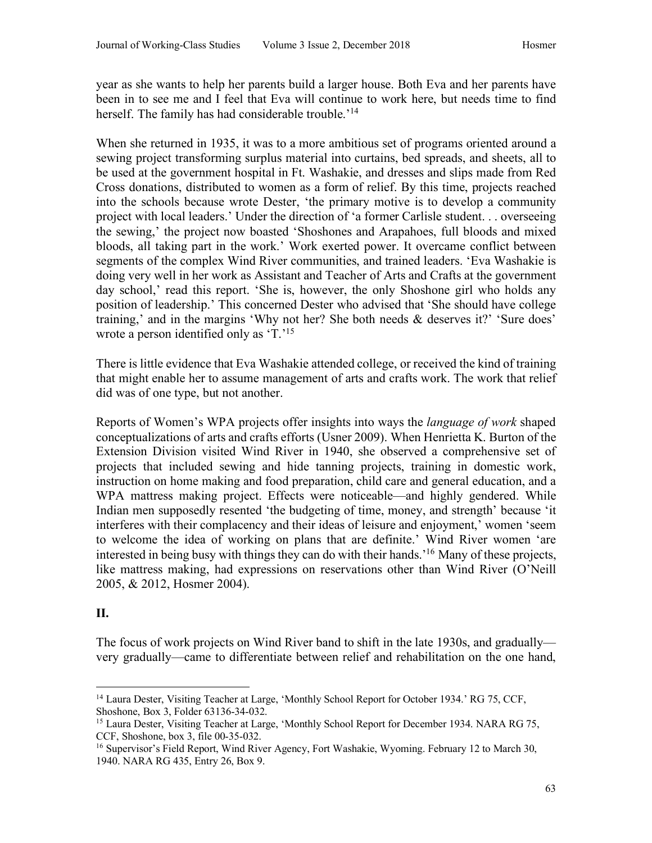year as she wants to help her parents build a larger house. Both Eva and her parents have been in to see me and I feel that Eva will continue to work here, but needs time to find herself. The family has had considerable trouble.<sup>'14</sup>

When she returned in 1935, it was to a more ambitious set of programs oriented around a sewing project transforming surplus material into curtains, bed spreads, and sheets, all to be used at the government hospital in Ft. Washakie, and dresses and slips made from Red Cross donations, distributed to women as a form of relief. By this time, projects reached into the schools because wrote Dester, 'the primary motive is to develop a community project with local leaders.' Under the direction of 'a former Carlisle student. . . overseeing the sewing,' the project now boasted 'Shoshones and Arapahoes, full bloods and mixed bloods, all taking part in the work.' Work exerted power. It overcame conflict between segments of the complex Wind River communities, and trained leaders. 'Eva Washakie is doing very well in her work as Assistant and Teacher of Arts and Crafts at the government day school,' read this report. 'She is, however, the only Shoshone girl who holds any position of leadership.' This concerned Dester who advised that 'She should have college training,' and in the margins 'Why not her? She both needs & deserves it?' 'Sure does' wrote a person identified only as 'T.' 15

There is little evidence that Eva Washakie attended college, or received the kind of training that might enable her to assume management of arts and crafts work. The work that relief did was of one type, but not another.

Reports of Women's WPA projects offer insights into ways the *language of work* shaped conceptualizations of arts and crafts efforts (Usner 2009). When Henrietta K. Burton of the Extension Division visited Wind River in 1940, she observed a comprehensive set of projects that included sewing and hide tanning projects, training in domestic work, instruction on home making and food preparation, child care and general education, and a WPA mattress making project. Effects were noticeable—and highly gendered. While Indian men supposedly resented 'the budgeting of time, money, and strength' because 'it interferes with their complacency and their ideas of leisure and enjoyment,' women 'seem to welcome the idea of working on plans that are definite.' Wind River women 'are interested in being busy with things they can do with their hands.<sup>'16</sup> Many of these projects, like mattress making, had expressions on reservations other than Wind River (O'Neill 2005, & 2012, Hosmer 2004).

# **II.**

The focus of work projects on Wind River band to shift in the late 1930s, and gradually very gradually—came to differentiate between relief and rehabilitation on the one hand,

<sup>&</sup>lt;sup>14</sup> Laura Dester, Visiting Teacher at Large, 'Monthly School Report for October 1934.' RG 75, CCF, Shoshone, Box 3, Folder 63136-34-032.

<sup>&</sup>lt;sup>15</sup> Laura Dester, Visiting Teacher at Large, 'Monthly School Report for December 1934, NARA RG 75, CCF, Shoshone, box 3, file 00-35-032.

<sup>&</sup>lt;sup>16</sup> Supervisor's Field Report, Wind River Agency, Fort Washakie, Wyoming. February 12 to March 30, 1940. NARA RG 435, Entry 26, Box 9.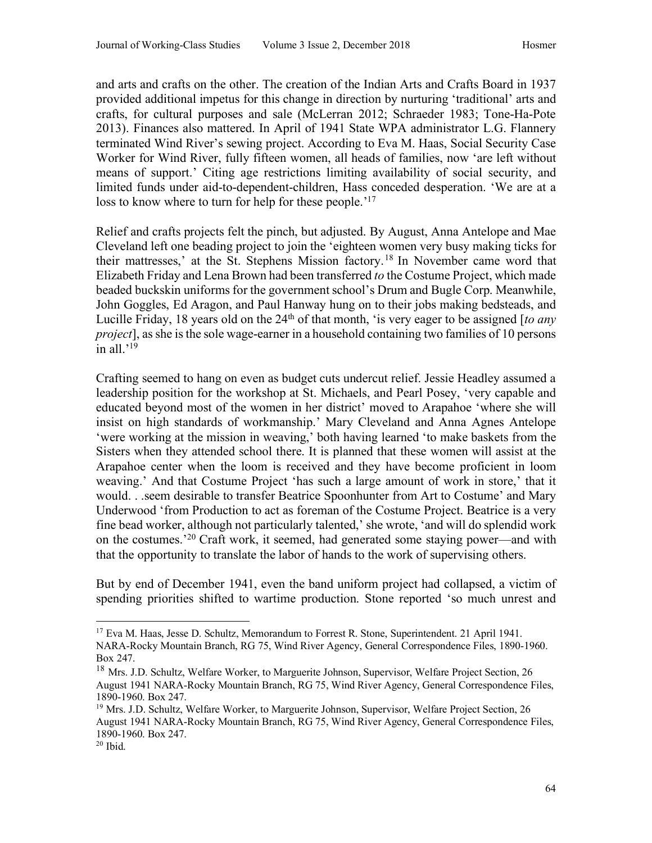and arts and crafts on the other. The creation of the Indian Arts and Crafts Board in 1937 provided additional impetus for this change in direction by nurturing 'traditional' arts and crafts, for cultural purposes and sale (McLerran 2012; Schraeder 1983; Tone-Ha-Pote 2013). Finances also mattered. In April of 1941 State WPA administrator L.G. Flannery terminated Wind River's sewing project. According to Eva M. Haas, Social Security Case Worker for Wind River, fully fifteen women, all heads of families, now 'are left without means of support.' Citing age restrictions limiting availability of social security, and limited funds under aid-to-dependent-children, Hass conceded desperation. 'We are at a loss to know where to turn for help for these people.<sup>'17</sup>

Relief and crafts projects felt the pinch, but adjusted. By August, Anna Antelope and Mae Cleveland left one beading project to join the 'eighteen women very busy making ticks for their mattresses,' at the St. Stephens Mission factory.18 In November came word that Elizabeth Friday and Lena Brown had been transferred *to* the Costume Project, which made beaded buckskin uniforms for the government school's Drum and Bugle Corp. Meanwhile, John Goggles, Ed Aragon, and Paul Hanway hung on to their jobs making bedsteads, and Lucille Friday, 18 years old on the 24th of that month, 'is very eager to be assigned [*to any project*], as she is the sole wage-earner in a household containing two families of 10 persons in all.' 19

Crafting seemed to hang on even as budget cuts undercut relief. Jessie Headley assumed a leadership position for the workshop at St. Michaels, and Pearl Posey, 'very capable and educated beyond most of the women in her district' moved to Arapahoe 'where she will insist on high standards of workmanship.' Mary Cleveland and Anna Agnes Antelope 'were working at the mission in weaving,' both having learned 'to make baskets from the Sisters when they attended school there. It is planned that these women will assist at the Arapahoe center when the loom is received and they have become proficient in loom weaving.' And that Costume Project 'has such a large amount of work in store,' that it would. . .seem desirable to transfer Beatrice Spoonhunter from Art to Costume' and Mary Underwood 'from Production to act as foreman of the Costume Project. Beatrice is a very fine bead worker, although not particularly talented,' she wrote, 'and will do splendid work on the costumes.' <sup>20</sup> Craft work, it seemed, had generated some staying power—and with that the opportunity to translate the labor of hands to the work of supervising others.

But by end of December 1941, even the band uniform project had collapsed, a victim of spending priorities shifted to wartime production. Stone reported 'so much unrest and

 <sup>17</sup> Eva M. Haas, Jesse D. Schultz, Memorandum to Forrest R. Stone, Superintendent. <sup>21</sup> April 1941. NARA-Rocky Mountain Branch, RG 75, Wind River Agency, General Correspondence Files, 1890-1960. Box 247.

<sup>&</sup>lt;sup>18</sup> Mrs. J.D. Schultz, Welfare Worker, to Marguerite Johnson, Supervisor, Welfare Project Section, 26 August 1941 NARA-Rocky Mountain Branch, RG 75, Wind River Agency, General Correspondence Files, 1890-1960. Box 247.

<sup>19</sup> Mrs. J.D. Schultz, Welfare Worker, to Marguerite Johnson, Supervisor, Welfare Project Section, 26 August 1941 NARA-Rocky Mountain Branch, RG 75, Wind River Agency, General Correspondence Files, 1890-1960. Box 247.

 $20$  Ibid.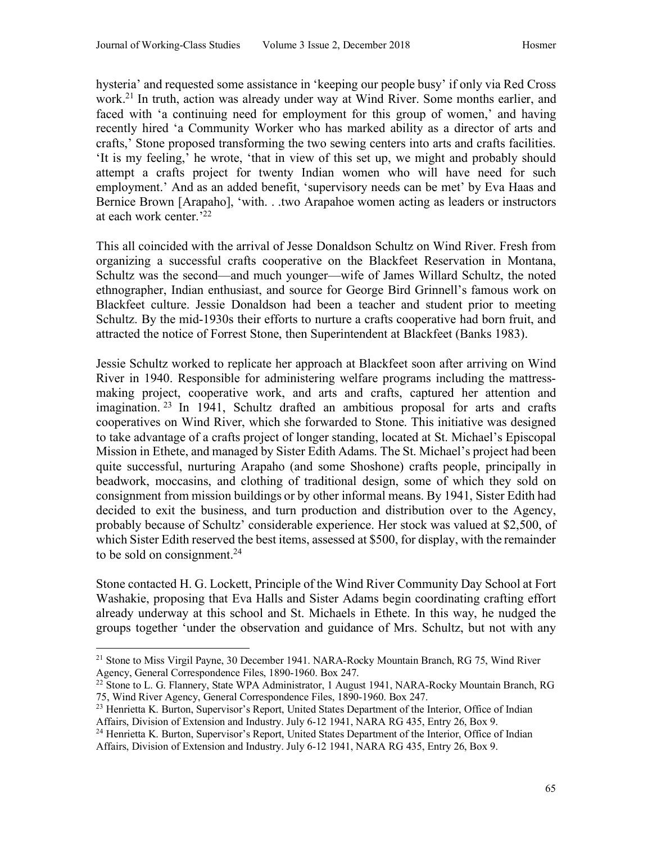hysteria' and requested some assistance in 'keeping our people busy' if only via Red Cross work.<sup>21</sup> In truth, action was already under way at Wind River. Some months earlier, and faced with 'a continuing need for employment for this group of women,' and having recently hired 'a Community Worker who has marked ability as a director of arts and crafts,' Stone proposed transforming the two sewing centers into arts and crafts facilities. 'It is my feeling,' he wrote, 'that in view of this set up, we might and probably should attempt a crafts project for twenty Indian women who will have need for such employment.' And as an added benefit, 'supervisory needs can be met' by Eva Haas and Bernice Brown [Arapaho], 'with. . .two Arapahoe women acting as leaders or instructors at each work center.' 22

This all coincided with the arrival of Jesse Donaldson Schultz on Wind River. Fresh from organizing a successful crafts cooperative on the Blackfeet Reservation in Montana, Schultz was the second—and much younger—wife of James Willard Schultz, the noted ethnographer, Indian enthusiast, and source for George Bird Grinnell's famous work on Blackfeet culture. Jessie Donaldson had been a teacher and student prior to meeting Schultz. By the mid-1930s their efforts to nurture a crafts cooperative had born fruit, and attracted the notice of Forrest Stone, then Superintendent at Blackfeet (Banks 1983).

Jessie Schultz worked to replicate her approach at Blackfeet soon after arriving on Wind River in 1940. Responsible for administering welfare programs including the mattressmaking project, cooperative work, and arts and crafts, captured her attention and imagination. <sup>23</sup> In 1941, Schultz drafted an ambitious proposal for arts and crafts cooperatives on Wind River, which she forwarded to Stone. This initiative was designed to take advantage of a crafts project of longer standing, located at St. Michael's Episcopal Mission in Ethete, and managed by Sister Edith Adams. The St. Michael's project had been quite successful, nurturing Arapaho (and some Shoshone) crafts people, principally in beadwork, moccasins, and clothing of traditional design, some of which they sold on consignment from mission buildings or by other informal means. By 1941, Sister Edith had decided to exit the business, and turn production and distribution over to the Agency, probably because of Schultz' considerable experience. Her stock was valued at \$2,500, of which Sister Edith reserved the best items, assessed at \$500, for display, with the remainder to be sold on consignment.<sup>24</sup>

Stone contacted H. G. Lockett, Principle of the Wind River Community Day School at Fort Washakie, proposing that Eva Halls and Sister Adams begin coordinating crafting effort already underway at this school and St. Michaels in Ethete. In this way, he nudged the groups together 'under the observation and guidance of Mrs. Schultz, but not with any

<sup>&</sup>lt;sup>21</sup> Stone to Miss Virgil Payne, 30 December 1941. NARA-Rocky Mountain Branch, RG 75, Wind River Agency, General Correspondence Files, 1890-1960. Box 247.

<sup>&</sup>lt;sup>22</sup> Stone to L. G. Flannery, State WPA Administrator, 1 August 1941, NARA-Rocky Mountain Branch, RG 75, Wind River Agency, General Correspondence Files, 1890-1960. Box 247.

<sup>&</sup>lt;sup>23</sup> Henrietta K. Burton, Supervisor's Report, United States Department of the Interior, Office of Indian Affairs, Division of Extension and Industry. July 6-12 1941, NARA RG 435, Entry 26, Box 9.

<sup>&</sup>lt;sup>24</sup> Henrietta K. Burton, Supervisor's Report, United States Department of the Interior, Office of Indian Affairs, Division of Extension and Industry. July 6-12 1941, NARA RG 435, Entry 26, Box 9.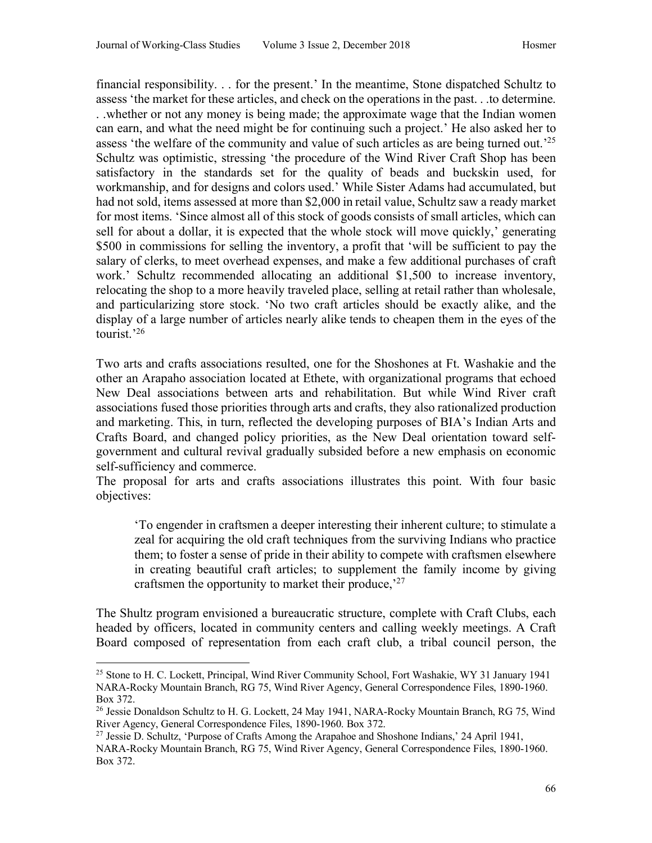financial responsibility. . . for the present.' In the meantime, Stone dispatched Schultz to assess 'the market for these articles, and check on the operations in the past. . .to determine. . .whether or not any money is being made; the approximate wage that the Indian women can earn, and what the need might be for continuing such a project.' He also asked her to assess 'the welfare of the community and value of such articles as are being turned out.<sup>25</sup> Schultz was optimistic, stressing 'the procedure of the Wind River Craft Shop has been satisfactory in the standards set for the quality of beads and buckskin used, for workmanship, and for designs and colors used.' While Sister Adams had accumulated, but had not sold, items assessed at more than \$2,000 in retail value, Schultz saw a ready market for most items. 'Since almost all of this stock of goods consists of small articles, which can sell for about a dollar, it is expected that the whole stock will move quickly,' generating \$500 in commissions for selling the inventory, a profit that 'will be sufficient to pay the salary of clerks, to meet overhead expenses, and make a few additional purchases of craft work.' Schultz recommended allocating an additional \$1,500 to increase inventory, relocating the shop to a more heavily traveled place, selling at retail rather than wholesale, and particularizing store stock. 'No two craft articles should be exactly alike, and the display of a large number of articles nearly alike tends to cheapen them in the eyes of the tourist.' 26

Two arts and crafts associations resulted, one for the Shoshones at Ft. Washakie and the other an Arapaho association located at Ethete, with organizational programs that echoed New Deal associations between arts and rehabilitation. But while Wind River craft associations fused those priorities through arts and crafts, they also rationalized production and marketing. This, in turn, reflected the developing purposes of BIA's Indian Arts and Crafts Board, and changed policy priorities, as the New Deal orientation toward selfgovernment and cultural revival gradually subsided before a new emphasis on economic self-sufficiency and commerce.

The proposal for arts and crafts associations illustrates this point. With four basic objectives:

'To engender in craftsmen a deeper interesting their inherent culture; to stimulate a zeal for acquiring the old craft techniques from the surviving Indians who practice them; to foster a sense of pride in their ability to compete with craftsmen elsewhere in creating beautiful craft articles; to supplement the family income by giving craftsmen the opportunity to market their produce,  $27$ 

The Shultz program envisioned a bureaucratic structure, complete with Craft Clubs, each headed by officers, located in community centers and calling weekly meetings. A Craft Board composed of representation from each craft club, a tribal council person, the

 <sup>25</sup> Stone to H. C. Lockett, Principal, Wind River Community School, Fort Washakie, WY <sup>31</sup> January <sup>1941</sup> NARA-Rocky Mountain Branch, RG 75, Wind River Agency, General Correspondence Files, 1890-1960. Box 372.

<sup>&</sup>lt;sup>26</sup> Jessie Donaldson Schultz to H. G. Lockett, 24 May 1941, NARA-Rocky Mountain Branch, RG 75, Wind River Agency, General Correspondence Files, 1890-1960. Box 372.

<sup>27</sup> Jessie D. Schultz, 'Purpose of Crafts Among the Arapahoe and Shoshone Indians,' 24 April 1941, NARA-Rocky Mountain Branch, RG 75, Wind River Agency, General Correspondence Files, 1890-1960. Box 372.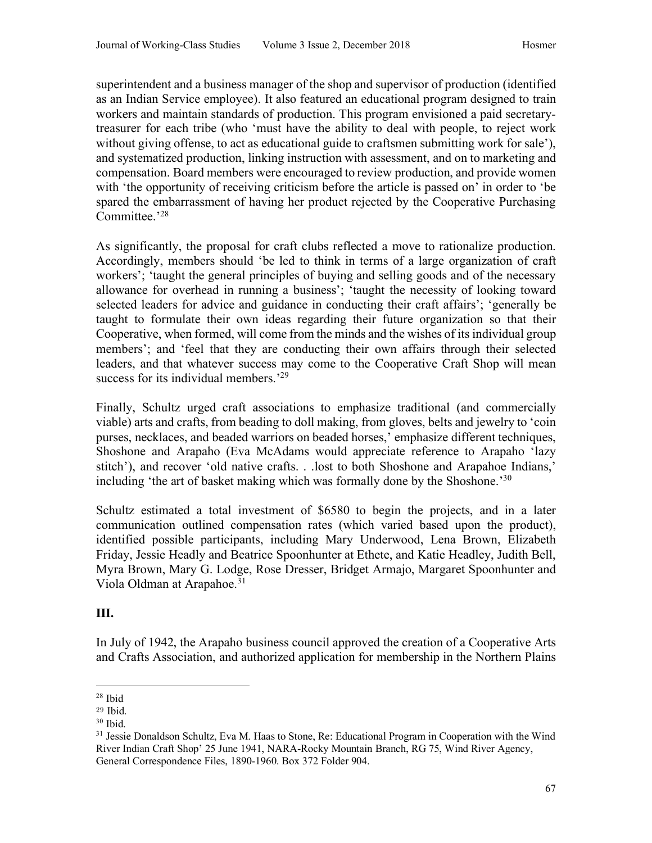superintendent and a business manager of the shop and supervisor of production (identified as an Indian Service employee). It also featured an educational program designed to train workers and maintain standards of production. This program envisioned a paid secretarytreasurer for each tribe (who 'must have the ability to deal with people, to reject work without giving offense, to act as educational guide to craftsmen submitting work for sale'), and systematized production, linking instruction with assessment, and on to marketing and compensation. Board members were encouraged to review production, and provide women with 'the opportunity of receiving criticism before the article is passed on' in order to 'be spared the embarrassment of having her product rejected by the Cooperative Purchasing Committee.' 28

As significantly, the proposal for craft clubs reflected a move to rationalize production. Accordingly, members should 'be led to think in terms of a large organization of craft workers'; 'taught the general principles of buying and selling goods and of the necessary allowance for overhead in running a business'; 'taught the necessity of looking toward selected leaders for advice and guidance in conducting their craft affairs'; 'generally be taught to formulate their own ideas regarding their future organization so that their Cooperative, when formed, will come from the minds and the wishes of its individual group members'; and 'feel that they are conducting their own affairs through their selected leaders, and that whatever success may come to the Cooperative Craft Shop will mean success for its individual members.<sup>'29</sup>

Finally, Schultz urged craft associations to emphasize traditional (and commercially viable) arts and crafts, from beading to doll making, from gloves, belts and jewelry to 'coin purses, necklaces, and beaded warriors on beaded horses,' emphasize different techniques, Shoshone and Arapaho (Eva McAdams would appreciate reference to Arapaho 'lazy stitch'), and recover 'old native crafts. . .lost to both Shoshone and Arapahoe Indians,' including 'the art of basket making which was formally done by the Shoshone.' 30

Schultz estimated a total investment of \$6580 to begin the projects, and in a later communication outlined compensation rates (which varied based upon the product), identified possible participants, including Mary Underwood, Lena Brown, Elizabeth Friday, Jessie Headly and Beatrice Spoonhunter at Ethete, and Katie Headley, Judith Bell, Myra Brown, Mary G. Lodge, Rose Dresser, Bridget Armajo, Margaret Spoonhunter and Viola Oldman at Arapahoe.<sup>31</sup>

# **III.**

In July of 1942, the Arapaho business council approved the creation of a Cooperative Arts and Crafts Association, and authorized application for membership in the Northern Plains

 <sup>28</sup> Ibid

<sup>29</sup> Ibid.

 $30$  Ibid.

<sup>&</sup>lt;sup>31</sup> Jessie Donaldson Schultz, Eva M. Haas to Stone, Re: Educational Program in Cooperation with the Wind River Indian Craft Shop' 25 June 1941, NARA-Rocky Mountain Branch, RG 75, Wind River Agency, General Correspondence Files, 1890-1960. Box 372 Folder 904.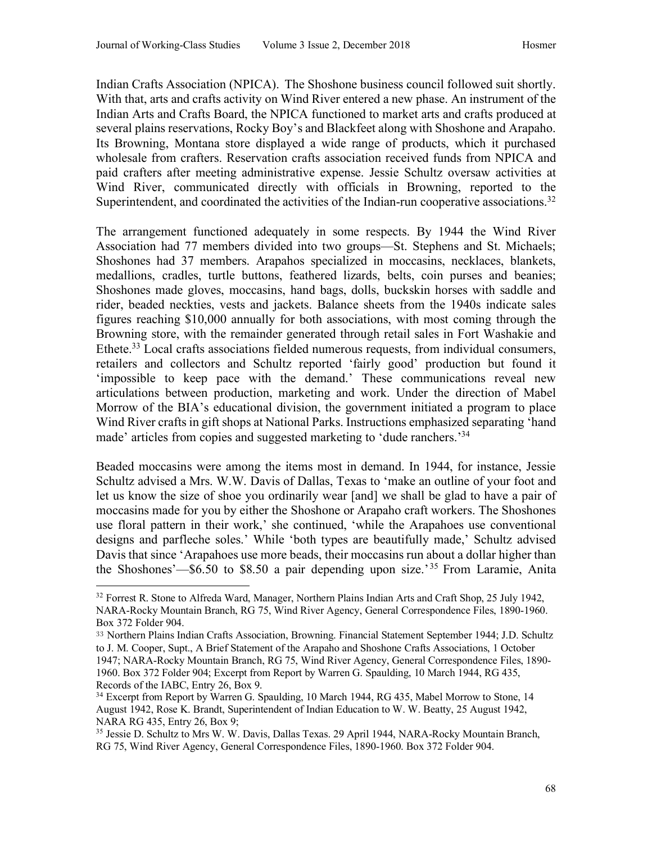Indian Crafts Association (NPICA). The Shoshone business council followed suit shortly. With that, arts and crafts activity on Wind River entered a new phase. An instrument of the Indian Arts and Crafts Board, the NPICA functioned to market arts and crafts produced at several plains reservations, Rocky Boy's and Blackfeet along with Shoshone and Arapaho. Its Browning, Montana store displayed a wide range of products, which it purchased wholesale from crafters. Reservation crafts association received funds from NPICA and paid crafters after meeting administrative expense. Jessie Schultz oversaw activities at Wind River, communicated directly with officials in Browning, reported to the Superintendent, and coordinated the activities of the Indian-run cooperative associations.<sup>32</sup>

The arrangement functioned adequately in some respects. By 1944 the Wind River Association had 77 members divided into two groups—St. Stephens and St. Michaels; Shoshones had 37 members. Arapahos specialized in moccasins, necklaces, blankets, medallions, cradles, turtle buttons, feathered lizards, belts, coin purses and beanies; Shoshones made gloves, moccasins, hand bags, dolls, buckskin horses with saddle and rider, beaded neckties, vests and jackets. Balance sheets from the 1940s indicate sales figures reaching \$10,000 annually for both associations, with most coming through the Browning store, with the remainder generated through retail sales in Fort Washakie and Ethete.<sup>33</sup> Local crafts associations fielded numerous requests, from individual consumers, retailers and collectors and Schultz reported 'fairly good' production but found it 'impossible to keep pace with the demand.' These communications reveal new articulations between production, marketing and work. Under the direction of Mabel Morrow of the BIA's educational division, the government initiated a program to place Wind River crafts in gift shops at National Parks. Instructions emphasized separating 'hand made' articles from copies and suggested marketing to 'dude ranchers.'<sup>34</sup>

Beaded moccasins were among the items most in demand. In 1944, for instance, Jessie Schultz advised a Mrs. W.W. Davis of Dallas, Texas to 'make an outline of your foot and let us know the size of shoe you ordinarily wear [and] we shall be glad to have a pair of moccasins made for you by either the Shoshone or Arapaho craft workers. The Shoshones use floral pattern in their work,' she continued, 'while the Arapahoes use conventional designs and parfleche soles.' While 'both types are beautifully made,' Schultz advised Davis that since 'Arapahoes use more beads, their moccasins run about a dollar higher than the Shoshones'— $\$6.50$  to  $\$8.50$  a pair depending upon size.<sup>35</sup> From Laramie, Anita

<sup>&</sup>lt;sup>32</sup> Forrest R. Stone to Alfreda Ward, Manager, Northern Plains Indian Arts and Craft Shop, 25 July 1942, NARA-Rocky Mountain Branch, RG 75, Wind River Agency, General Correspondence Files, 1890-1960. Box 372 Folder 904.

<sup>33</sup> Northern Plains Indian Crafts Association, Browning. Financial Statement September 1944; J.D. Schultz to J. M. Cooper, Supt., A Brief Statement of the Arapaho and Shoshone Crafts Associations, 1 October 1947; NARA-Rocky Mountain Branch, RG 75, Wind River Agency, General Correspondence Files, 1890- 1960. Box 372 Folder 904; Excerpt from Report by Warren G. Spaulding, 10 March 1944, RG 435, Records of the IABC, Entry 26, Box 9.

<sup>&</sup>lt;sup>34</sup> Excerpt from Report by Warren G. Spaulding, 10 March 1944, RG 435, Mabel Morrow to Stone, 14 August 1942, Rose K. Brandt, Superintendent of Indian Education to W. W. Beatty, 25 August 1942, NARA RG 435, Entry 26, Box 9;

<sup>35</sup> Jessie D. Schultz to Mrs W. W. Davis, Dallas Texas. 29 April 1944, NARA-Rocky Mountain Branch, RG 75, Wind River Agency, General Correspondence Files, 1890-1960. Box 372 Folder 904.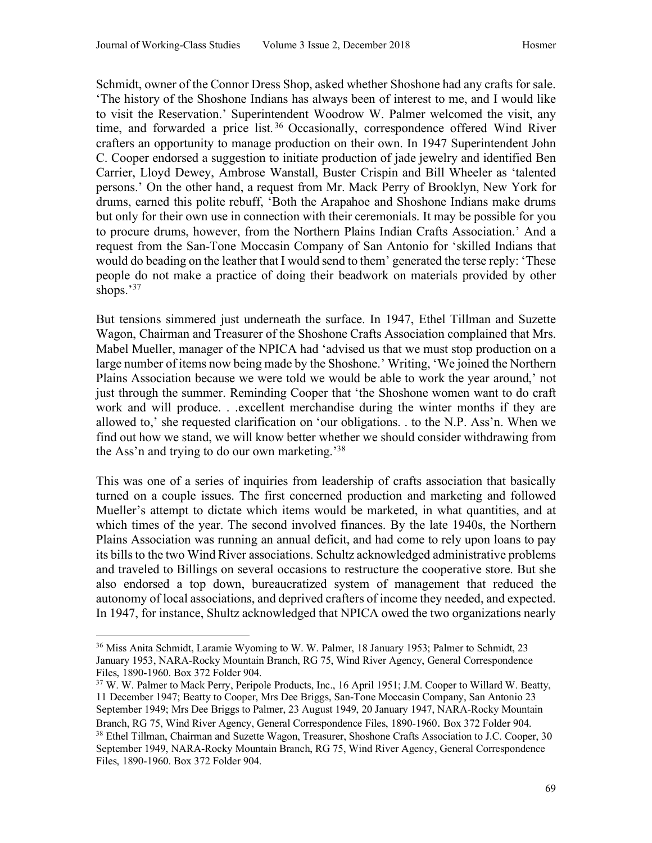Schmidt, owner of the Connor Dress Shop, asked whether Shoshone had any crafts for sale. 'The history of the Shoshone Indians has always been of interest to me, and I would like to visit the Reservation.' Superintendent Woodrow W. Palmer welcomed the visit, any time, and forwarded a price list.<sup>36</sup> Occasionally, correspondence offered Wind River crafters an opportunity to manage production on their own. In 1947 Superintendent John C. Cooper endorsed a suggestion to initiate production of jade jewelry and identified Ben Carrier, Lloyd Dewey, Ambrose Wanstall, Buster Crispin and Bill Wheeler as 'talented persons.' On the other hand, a request from Mr. Mack Perry of Brooklyn, New York for drums, earned this polite rebuff, 'Both the Arapahoe and Shoshone Indians make drums but only for their own use in connection with their ceremonials. It may be possible for you to procure drums, however, from the Northern Plains Indian Crafts Association.' And a request from the San-Tone Moccasin Company of San Antonio for 'skilled Indians that would do beading on the leather that I would send to them' generated the terse reply: 'These people do not make a practice of doing their beadwork on materials provided by other shops.<sup>37</sup>

But tensions simmered just underneath the surface. In 1947, Ethel Tillman and Suzette Wagon, Chairman and Treasurer of the Shoshone Crafts Association complained that Mrs. Mabel Mueller, manager of the NPICA had 'advised us that we must stop production on a large number of items now being made by the Shoshone.' Writing, 'We joined the Northern Plains Association because we were told we would be able to work the year around,' not just through the summer. Reminding Cooper that 'the Shoshone women want to do craft work and will produce. . .excellent merchandise during the winter months if they are allowed to,' she requested clarification on 'our obligations. . to the N.P. Ass'n. When we find out how we stand, we will know better whether we should consider withdrawing from the Ass'n and trying to do our own marketing.'38

This was one of a series of inquiries from leadership of crafts association that basically turned on a couple issues. The first concerned production and marketing and followed Mueller's attempt to dictate which items would be marketed, in what quantities, and at which times of the year. The second involved finances. By the late 1940s, the Northern Plains Association was running an annual deficit, and had come to rely upon loans to pay its bills to the two Wind River associations. Schultz acknowledged administrative problems and traveled to Billings on several occasions to restructure the cooperative store. But she also endorsed a top down, bureaucratized system of management that reduced the autonomy of local associations, and deprived crafters of income they needed, and expected. In 1947, for instance, Shultz acknowledged that NPICA owed the two organizations nearly

<sup>&</sup>lt;sup>36</sup> Miss Anita Schmidt, Laramie Wyoming to W. W. Palmer, 18 January 1953; Palmer to Schmidt, 23 January 1953, NARA-Rocky Mountain Branch, RG 75, Wind River Agency, General Correspondence Files, 1890-1960. Box 372 Folder 904.

<sup>&</sup>lt;sup>37</sup> W. W. Palmer to Mack Perry, Peripole Products, Inc., 16 April 1951; J.M. Cooper to Willard W. Beatty, 11 December 1947; Beatty to Cooper, Mrs Dee Briggs, San-Tone Moccasin Company, San Antonio 23 September 1949; Mrs Dee Briggs to Palmer, 23 August 1949, 20 January 1947, NARA-Rocky Mountain

Branch, RG 75, Wind River Agency, General Correspondence Files, 1890-1960. Box 372 Folder 904. <sup>38</sup> Ethel Tillman, Chairman and Suzette Wagon, Treasurer, Shoshone Crafts Association to J.C. Cooper, 30 September 1949, NARA-Rocky Mountain Branch, RG 75, Wind River Agency, General Correspondence Files, 1890-1960. Box 372 Folder 904.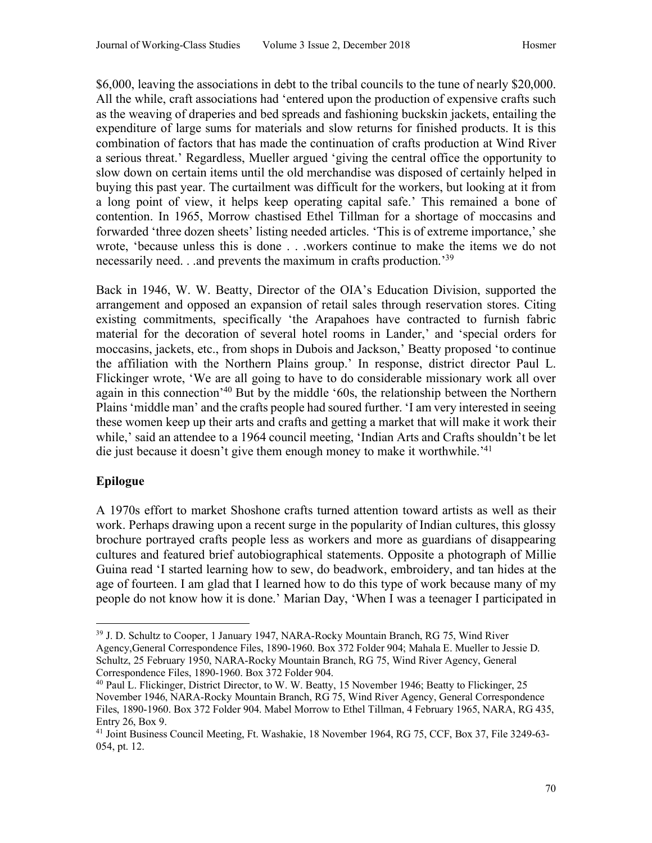\$6,000, leaving the associations in debt to the tribal councils to the tune of nearly \$20,000. All the while, craft associations had 'entered upon the production of expensive crafts such as the weaving of draperies and bed spreads and fashioning buckskin jackets, entailing the expenditure of large sums for materials and slow returns for finished products. It is this combination of factors that has made the continuation of crafts production at Wind River a serious threat.' Regardless, Mueller argued 'giving the central office the opportunity to slow down on certain items until the old merchandise was disposed of certainly helped in buying this past year. The curtailment was difficult for the workers, but looking at it from a long point of view, it helps keep operating capital safe.' This remained a bone of contention. In 1965, Morrow chastised Ethel Tillman for a shortage of moccasins and forwarded 'three dozen sheets' listing needed articles. 'This is of extreme importance,' she wrote, 'because unless this is done . . .workers continue to make the items we do not necessarily need. . .and prevents the maximum in crafts production.<sup>'39</sup>

Back in 1946, W. W. Beatty, Director of the OIA's Education Division, supported the arrangement and opposed an expansion of retail sales through reservation stores. Citing existing commitments, specifically 'the Arapahoes have contracted to furnish fabric material for the decoration of several hotel rooms in Lander,' and 'special orders for moccasins, jackets, etc., from shops in Dubois and Jackson,' Beatty proposed 'to continue the affiliation with the Northern Plains group.' In response, district director Paul L. Flickinger wrote, 'We are all going to have to do considerable missionary work all over again in this connection' <sup>40</sup> But by the middle '60s, the relationship between the Northern Plains'middle man' and the crafts people had soured further. 'I am very interested in seeing these women keep up their arts and crafts and getting a market that will make it work their while,' said an attendee to a 1964 council meeting, 'Indian Arts and Crafts shouldn't be let die just because it doesn't give them enough money to make it worthwhile.' 41

# **Epilogue**

A 1970s effort to market Shoshone crafts turned attention toward artists as well as their work. Perhaps drawing upon a recent surge in the popularity of Indian cultures, this glossy brochure portrayed crafts people less as workers and more as guardians of disappearing cultures and featured brief autobiographical statements. Opposite a photograph of Millie Guina read 'I started learning how to sew, do beadwork, embroidery, and tan hides at the age of fourteen. I am glad that I learned how to do this type of work because many of my people do not know how it is done.' Marian Day, 'When I was a teenager I participated in

 <sup>39</sup> J. D. Schultz to Cooper, <sup>1</sup> January 1947, NARA-Rocky Mountain Branch, RG 75, Wind River Agency,General Correspondence Files, 1890-1960. Box 372 Folder 904; Mahala E. Mueller to Jessie D. Schultz, 25 February 1950, NARA-Rocky Mountain Branch, RG 75, Wind River Agency, General Correspondence Files, 1890-1960. Box 372 Folder 904.

<sup>&</sup>lt;sup>40</sup> Paul L. Flickinger, District Director, to W. W. Beatty, 15 November 1946; Beatty to Flickinger, 25 November 1946, NARA-Rocky Mountain Branch, RG 75, Wind River Agency, General Correspondence Files, 1890-1960. Box 372 Folder 904. Mabel Morrow to Ethel Tillman, 4 February 1965, NARA, RG 435, Entry 26, Box 9.

<sup>41</sup> Joint Business Council Meeting, Ft. Washakie, 18 November 1964, RG 75, CCF, Box 37, File 3249-63- 054, pt. 12.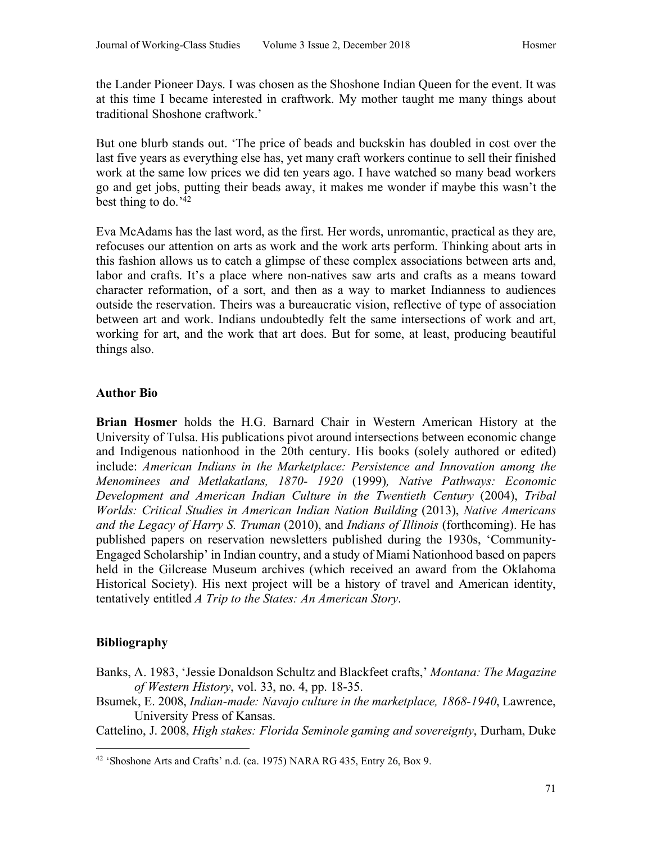the Lander Pioneer Days. I was chosen as the Shoshone Indian Queen for the event. It was at this time I became interested in craftwork. My mother taught me many things about traditional Shoshone craftwork.'

But one blurb stands out. 'The price of beads and buckskin has doubled in cost over the last five years as everything else has, yet many craft workers continue to sell their finished work at the same low prices we did ten years ago. I have watched so many bead workers go and get jobs, putting their beads away, it makes me wonder if maybe this wasn't the best thing to do.' 42

Eva McAdams has the last word, as the first. Her words, unromantic, practical as they are, refocuses our attention on arts as work and the work arts perform. Thinking about arts in this fashion allows us to catch a glimpse of these complex associations between arts and, labor and crafts. It's a place where non-natives saw arts and crafts as a means toward character reformation, of a sort, and then as a way to market Indianness to audiences outside the reservation. Theirs was a bureaucratic vision, reflective of type of association between art and work. Indians undoubtedly felt the same intersections of work and art, working for art, and the work that art does. But for some, at least, producing beautiful things also.

#### **Author Bio**

**Brian Hosmer** holds the H.G. Barnard Chair in Western American History at the University of Tulsa. His publications pivot around intersections between economic change and Indigenous nationhood in the 20th century. His books (solely authored or edited) include: *American Indians in the Marketplace: Persistence and Innovation among the Menominees and Metlakatlans, 1870- 1920* (1999)*, Native Pathways: Economic Development and American Indian Culture in the Twentieth Century* (2004), *Tribal Worlds: Critical Studies in American Indian Nation Building* (2013), *Native Americans and the Legacy of Harry S. Truman* (2010), and *Indians of Illinois* (forthcoming). He has published papers on reservation newsletters published during the 1930s, 'Community-Engaged Scholarship' in Indian country, and a study of Miami Nationhood based on papers held in the Gilcrease Museum archives (which received an award from the Oklahoma Historical Society). His next project will be a history of travel and American identity, tentatively entitled *A Trip to the States: An American Story*.

# **Bibliography**

- Banks, A. 1983, 'Jessie Donaldson Schultz and Blackfeet crafts,' *Montana: The Magazine of Western History*, vol. 33, no. 4, pp. 18-35.
- Bsumek, E. 2008, *Indian-made: Navajo culture in the marketplace, 1868-1940*, Lawrence, University Press of Kansas.

Cattelino, J. 2008, *High stakes: Florida Seminole gaming and sovereignty*, Durham, Duke

 <sup>42</sup> 'Shoshone Arts and Crafts' n.d. (ca. 1975) NARA RG 435, Entry 26, Box 9.